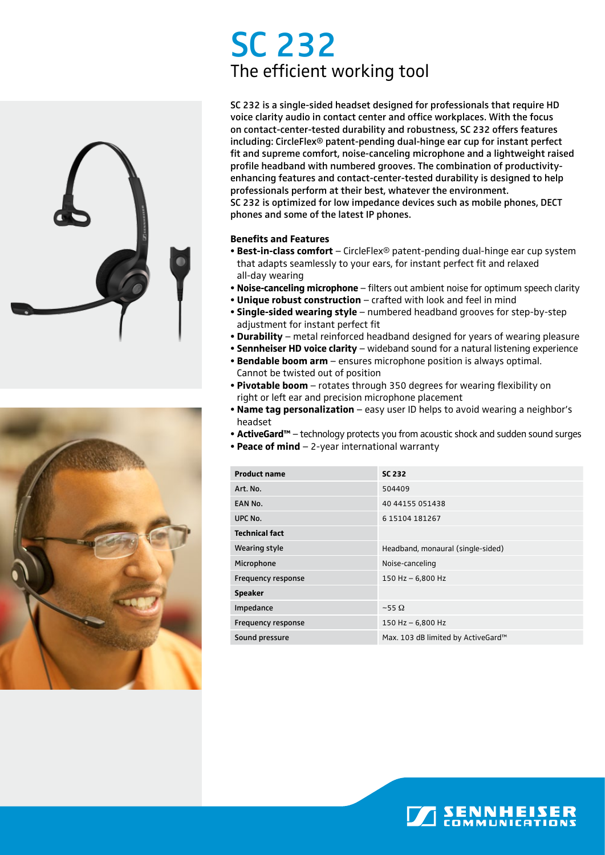## SC 232 The efficient working tool





SC 232 is a single-sided headset designed for professionals that require HD voice clarity audio in contact center and office workplaces. With the focus on contact-center-tested durability and robustness, SC 232 offers features including: CircleFlex® patent-pending dual-hinge ear cup for instant perfect fit and supreme comfort, noise-canceling microphone and a lightweight raised profile headband with numbered grooves. The combination of productivityenhancing features and contact-center-tested durability is designed to help professionals perform at their best, whatever the environment. SC 232 is optimized for low impedance devices such as mobile phones, DECT phones and some of the latest IP phones.

## **Benefits and Features**

- **Best-in-class comfort** CircleFlex® patent-pending dual-hinge ear cup system that adapts seamlessly to your ears, for instant perfect fit and relaxed all-day wearing
- **Noise-canceling microphone** filters out ambient noise for optimum speech clarity
- **Unique robust construction** crafted with look and feel in mind
- **Single-sided wearing style** numbered headband grooves for step-by-step adjustment for instant perfect fit
- **Durability**  metal reinforced headband designed for years of wearing pleasure
- **Sennheiser HD voice clarity** wideband sound for a natural listening experience
- **Bendable boom arm** ensures microphone position is always optimal. Cannot be twisted out of position
- **Pivotable boom** rotates through 350 degrees for wearing flexibility on right or left ear and precision microphone placement
- **Name tag personalization** easy user ID helps to avoid wearing a neighbor's headset
- **ActiveGard™** technology protects you from acoustic shock and sudden sound surges
- **Peace of mind** 2-year international warranty

| <b>SC 232</b>                      |  |
|------------------------------------|--|
| 504409                             |  |
| 40 44155 051438                    |  |
| 6 15104 181267                     |  |
|                                    |  |
| Headband, monaural (single-sided)  |  |
| Noise-canceling                    |  |
| 150 Hz $-$ 6,800 Hz                |  |
|                                    |  |
| $~55 \Omega$                       |  |
| 150 Hz $-$ 6,800 Hz                |  |
| Max. 103 dB limited by ActiveGard™ |  |
|                                    |  |